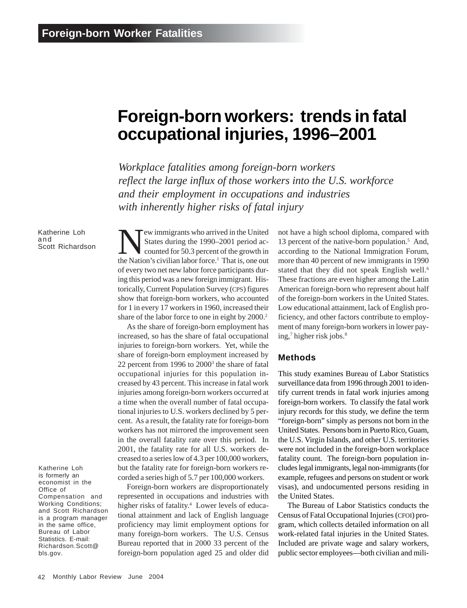# **Foreign-born workers: trends in fatal occupational injuries, 1996–2001**

*Workplace fatalities among foreign-born workers reflect the large influx of those workers into the U.S. workforce and their employment in occupations and industries with inherently higher risks of fatal injury*

Katherine Loh and<br>Scott Richardson

Katherine Loh is formerly an economist in the Office of Compensation and Working Conditions; and Scott Richardson is a program manager in the same office, Bureau of Labor Statistics. E-mail: Richardson.Scott@ bls.gov.

Tew immigrants who arrived in the United States during the 1990–2001 period accounted for 50.3 percent of the growth in the Nation's civilian labor force.<sup>1</sup> That is, one out of every two net new labor force participants during this period was a new foreign immigrant. Historically, Current Population Survey (CPS) figures show that foreign-born workers, who accounted for 1 in every 17 workers in 1960, increased their share of the labor force to one in eight by 2000.<sup>2</sup>

As the share of foreign-born employment has increased, so has the share of fatal occupational injuries to foreign-born workers. Yet, while the share of foreign-born employment increased by 22 percent from 1996 to 2000<sup>3</sup> the share of fatal occupational injuries for this population increased by 43 percent. This increase in fatal work injuries among foreign-born workers occurred at a time when the overall number of fatal occupational injuries to U.S. workers declined by 5 percent. As a result, the fatality rate for foreign-born workers has not mirrored the improvement seen in the overall fatality rate over this period. In 2001, the fatality rate for all U.S. workers decreased to a series low of 4.3 per 100,000 workers, but the fatality rate for foreign-born workers recorded a series high of 5.7 per 100,000 workers.

Foreign-born workers are disproportionately represented in occupations and industries with higher risks of fatality.<sup>4</sup> Lower levels of educational attainment and lack of English language proficiency may limit employment options for many foreign-born workers. The U.S. Census Bureau reported that in 2000 33 percent of the foreign-born population aged 25 and older did not have a high school diploma, compared with 13 percent of the native-born population.<sup>5</sup> And, according to the National Immigration Forum, more than 40 percent of new immigrants in 1990 stated that they did not speak English well.<sup>6</sup> These fractions are even higher among the Latin American foreign-born who represent about half of the foreign-born workers in the United States. Low educational attainment, lack of English proficiency, and other factors contribute to employment of many foreign-born workers in lower paying,<sup>7</sup> higher risk jobs.<sup>8</sup>

### **Methods**

This study examines Bureau of Labor Statistics surveillance data from 1996 through 2001 to identify current trends in fatal work injuries among foreign-born workers. To classify the fatal work injury records for this study, we define the term "foreign-born" simply as persons not born in the United States. Persons born in Puerto Rico, Guam, the U.S. Virgin Islands, and other U.S. territories were not included in the foreign-born workplace fatality count. The foreign-born population includes legal immigrants, legal non-immigrants (for example, refugees and persons on student or work visas), and undocumented persons residing in the United States.

The Bureau of Labor Statistics conducts the Census of Fatal Occupational Injuries (CFOI) program, which collects detailed information on all work-related fatal injuries in the United States. Included are private wage and salary workers, public sector employees—both civilian and mili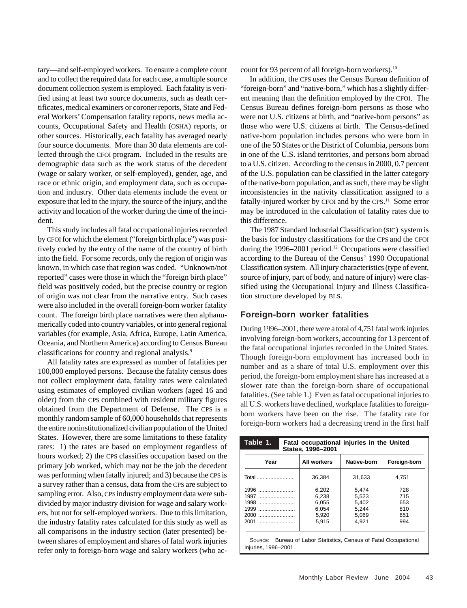tary—and self-employed workers. To ensure a complete count and to collect the required data for each case, a multiple source document collection system is employed. Each fatality is verified using at least two source documents, such as death certificates, medical examiners or coroner reports, State and Federal Workers' Compensation fatality reports, news media accounts, Occupational Safety and Health (OSHA) reports, or other sources. Historically, each fatality has averaged nearly four source documents. More than 30 data elements are collected through the CFOI program. Included in the results are demographic data such as the work status of the decedent (wage or salary worker, or self-employed), gender, age, and race or ethnic origin, and employment data, such as occupation and industry. Other data elements include the event or exposure that led to the injury, the source of the injury, and the activity and location of the worker during the time of the incident.

This study includes all fatal occupational injuries recorded by CFOI for which the element ("foreign birth place") was positively coded by the entry of the name of the country of birth into the field. For some records, only the region of origin was known, in which case that region was coded. "Unknown/not reported" cases were those in which the "foreign birth place" field was positively coded, but the precise country or region of origin was not clear from the narrative entry. Such cases were also included in the overall foreign-born worker fatality count. The foreign birth place narratives were then alphanumerically coded into country variables, or into general regional variables (for example, Asia, Africa, Europe, Latin America, Oceania, and Northern America) according to Census Bureau classifications for country and regional analysis.9

All fatality rates are expressed as number of fatalities per 100,000 employed persons. Because the fatality census does not collect employment data, fatality rates were calculated using estimates of employed civilian workers (aged 16 and older) from the CPS combined with resident military figures obtained from the Department of Defense. The CPS is a monthly random sample of 60,000 households that represents the entire noninstitutionalized civilian population of the United States. However, there are some limitations to these fatality rates: 1) the rates are based on employment regardless of hours worked; 2) the CPS classifies occupation based on the primary job worked, which may not be the job the decedent was performing when fatally injured; and 3) because the CPS is a survey rather than a census, data from the CPS are subject to sampling error. Also, CPS industry employment data were subdivided by major industry division for wage and salary workers, but not for self-employed workers. Due to this limitation, the industry fatality rates calculated for this study as well as all comparisons in the industry section (later presented) between shares of employment and shares of fatal work injuries refer only to foreign-born wage and salary workers (who account for 93 percent of all foreign-born workers).<sup>10</sup>

In addition, the CPS uses the Census Bureau definition of "foreign-born" and "native-born," which has a slightly different meaning than the definition employed by the CFOI. The Census Bureau defines foreign-born persons as those who were not U.S. citizens at birth, and "native-born persons" as those who were U.S. citizens at birth. The Census-defined native-born population includes persons who were born in one of the 50 States or the District of Columbia, persons born in one of the U.S. island territories, and persons born abroad to a U.S. citizen. According to the census in 2000, 0.7 percent of the U.S. population can be classified in the latter category of the native-born population, and as such, there may be slight inconsistencies in the nativity classification assigned to a fatally-injured worker by CFOI and by the CPS.<sup>11</sup> Some error may be introduced in the calculation of fatality rates due to this difference.

The 1987 Standard Industrial Classification (SIC) system is the basis for industry classifications for the CPS and the CFOI during the 1996–2001 period.<sup>12</sup> Occupations were classified according to the Bureau of the Census' 1990 Occupational Classification system. All injury characteristics (type of event, source of injury, part of body, and nature of injury) were classified using the Occupational Injury and Illness Classification structure developed by BLS.

#### **Foreign-born worker fatalities**

During 1996–2001, there were a total of 4,751 fatal work injuries involving foreign-born workers, accounting for 13 percent of the fatal occupational injuries recorded in the United States. Though foreign-born employment has increased both in number and as a share of total U.S. employment over this period, the foreign-born employment share has increased at a slower rate than the foreign-born share of occupational fatalities. (See table 1.) Even as fatal occupational injuries to all U.S. workers have declined, workplace fatalities to foreignborn workers have been on the rise. The fatality rate for foreign-born workers had a decreasing trend in the first half

| Table 1.<br>Fatal occupational injuries in the United<br>States, 1996-2001               |             |             |              |  |  |  |  |
|------------------------------------------------------------------------------------------|-------------|-------------|--------------|--|--|--|--|
| Year                                                                                     | All workers | Native-born | Foreign-born |  |  |  |  |
| Total                                                                                    | 36.384      | 31.633      | 4.751        |  |  |  |  |
| 1996                                                                                     | 6.202       | 5.474       | 728          |  |  |  |  |
| 1997                                                                                     | 6,238       | 5.523       | 715          |  |  |  |  |
| 1998                                                                                     | 6.055       | 5.402       | 653          |  |  |  |  |
| 1999                                                                                     | 6,054       | 5.244       | 810          |  |  |  |  |
| 2000                                                                                     | 5.920       | 5.069       | 851          |  |  |  |  |
| 2001                                                                                     | 5.915       | 4.921       | 994          |  |  |  |  |
| SOURCE: Bureau of Labor Statistics, Census of Fatal Occupational<br>Injuries, 1996-2001. |             |             |              |  |  |  |  |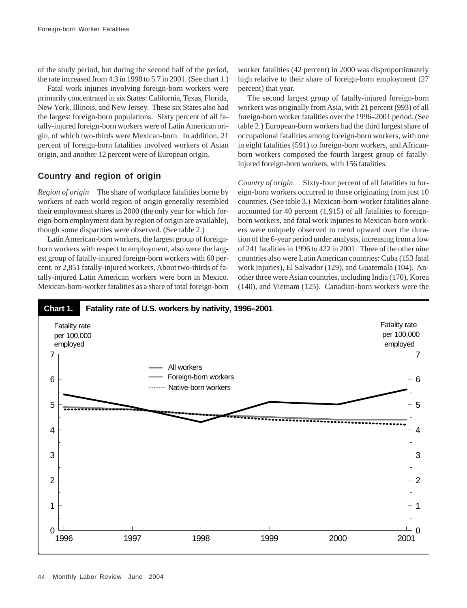of the study period, but during the second half of the period, the rate increased from 4.3 in 1998 to 5.7 in 2001. (See chart 1.)

Fatal work injuries involving foreign-born workers were primarily concentrated in six States: California, Texas, Florida, New York, Illinois, and New Jersey. These six States also had the largest foreign-born populations. Sixty percent of all fatally-injured foreign-born workers were of Latin American origin, of which two-thirds were Mexican-born. In addition, 21 percent of foreign-born fatalities involved workers of Asian origin, and another 12 percent were of European origin.

# **Country and region of origin**

*Region of origin* The share of workplace fatalities borne by workers of each world region of origin generally resembled their employment shares in 2000 (the only year for which foreign-born employment data by region of origin are available), though some disparities were observed. (See table 2.)

Latin American-born workers, the largest group of foreignborn workers with respect to employment, also were the largest group of fatally-injured foreign-born workers with 60 percent, or 2,851 fatally-injured workers. About two-thirds of fatally-injured Latin American workers were born in Mexico. Mexican-born-worker fatalities as a share of total foreign-born worker fatalities (42 percent) in 2000 was disproportionately high relative to their share of foreign-born employment (27 percent) that year.

The second largest group of fatally-injured foreign-born workers was originally from Asia, with 21 percent (993) of all foreign-born worker fatalities over the 1996–2001 period. (See table 2.) European-born workers had the third largest share of occupational fatalities among foreign-born workers, with one in eight fatalities (591) to foreign-born workers, and Africanborn workers composed the fourth largest group of fatallyinjured foreign-born workers, with 156 fatalities.

*Country of origin*. Sixty-four percent of all fatalities to foreign-born workers occurred to those originating from just 10 countries. (See table 3.) Mexican-born-worker fatalities alone accounted for 40 percent (1,915) of all fatalities to foreignborn workers, and fatal work injuries to Mexican-born workers were uniquely observed to trend upward over the duration of the 6-year period under analysis, increasing from a low of 241 fatalities in 1996 to 422 in 2001. Three of the other nine countries also were Latin American countries: Cuba (153 fatal work injuries), El Salvador (129), and Guatemala (104). Another three were Asian countries, including India (170), Korea (140), and Vietnam (125). Canadian-born workers were the

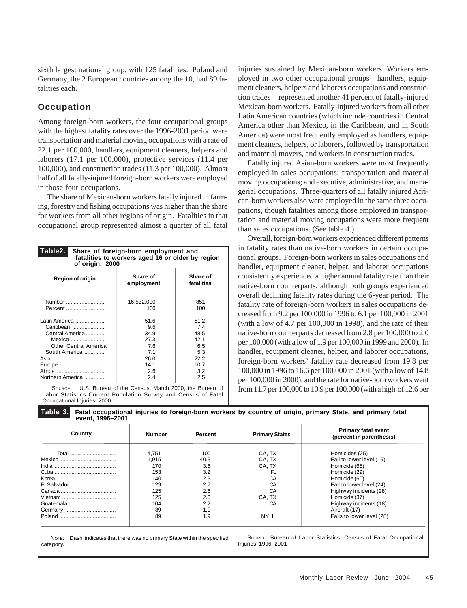sixth largest national group, with 125 fatalities. Poland and Germany, the 2 European countries among the 10, had 89 fatalities each.

## **Occupation**

Among foreign-born workers, the four occupational groups with the highest fatality rates over the 1996-2001 period were transportation and material moving occupations with a rate of 22.1 per 100,000, handlers, equipment cleaners, helpers and laborers (17.1 per 100,000), protective services (11.4 per 100,000), and construction trades (11.3 per 100,000). Almost half of all fatally-injured foreign-born workers were employed in those four occupations.

The share of Mexican-born workers fatally injured in farming, forestry and fishing occupations was higher than the share for workers from all other regions of origin. Fatalities in that occupational group represented almost a quarter of all fatal

| Table <sub>2.</sub><br>Share of foreign-born employment and<br>fatalities to workers aged 16 or older by region<br>of origin, 2000 |                        |                        |  |  |  |  |
|------------------------------------------------------------------------------------------------------------------------------------|------------------------|------------------------|--|--|--|--|
| <b>Region of origin</b>                                                                                                            | Share of<br>employment | Share of<br>fatalities |  |  |  |  |
| Number                                                                                                                             | 16,532,000             | 851                    |  |  |  |  |
| Percent                                                                                                                            | 100                    | 100                    |  |  |  |  |
| Latin America                                                                                                                      | 51.6                   | 61.2                   |  |  |  |  |
| Caribbean                                                                                                                          | 9.6                    | 7.4                    |  |  |  |  |
| Central America                                                                                                                    | 34.9                   | 48.5                   |  |  |  |  |
| Mexico                                                                                                                             | 27.3                   | 42.1                   |  |  |  |  |
| <b>Other Central America</b>                                                                                                       | 7.6                    | 6.5                    |  |  |  |  |
| South America                                                                                                                      | 7.1                    | 5.3                    |  |  |  |  |
| Asia                                                                                                                               | 26.0                   | 22.2                   |  |  |  |  |
| Europe                                                                                                                             | 14.1                   | 10.7                   |  |  |  |  |
| Africa                                                                                                                             | 2.6                    | 3.2                    |  |  |  |  |
| Northern America                                                                                                                   | 2.4                    | 2.5                    |  |  |  |  |

SOURCE: U.S. Bureau of the Census, March 2000, the Bureau of Labor Statistics Current Population Survey and Census of Fatal Occupational Injuries, 2000.

injuries sustained by Mexican-born workers. Workers employed in two other occupational groups—handlers, equipment cleaners, helpers and laborers occupations and construction trades—represented another 41 percent of fatally-injured Mexican-born workers. Fatally-injured workers from all other Latin American countries (which include countries in Central America other than Mexico, in the Caribbean, and in South America) were most frequently employed as handlers, equipment cleaners, helpers, or laborers, followed by transportation and material movers, and workers in construction trades.

Fatally injured Asian-born workers were most frequently employed in sales occupations; transportation and material moving occupations; and executive, administrative, and managerial occupations. Three-quarters of all fatally injured African-born workers also were employed in the same three occupations, though fatalities among those employed in transportation and material moving occupations were more frequent than sales occupations. (See table 4.)

Overall, foreign-born workers experienced different patterns in fatality rates than native-born workers in certain occupational groups. Foreign-born workers in sales occupations and handler, equipment cleaner, helper, and laborer occupations consistently experienced a higher annual fatality rate than their native-born counterparts, although both groups experienced overall declining fatality rates during the 6-year period. The fatality rate of foreign-born workers in sales occupations decreased from 9.2 per 100,000 in 1996 to 6.1 per 100,000 in 2001 (with a low of 4.7 per 100,000 in 1998), and the rate of their native-born counterparts decreased from 2.8 per 100,000 to 2.0 per 100,000 (with a low of 1.9 per 100,000 in 1999 and 2000). In handler, equipment cleaner, helper, and laborer occupations, foreign-born workers' fatality rate decreased from 19.8 per 100,000 in 1996 to 16.6 per 100,000 in 2001 (with a low of 14.8 per 100,000 in 2000), and the rate for native-born workers went from 11.7 per 100,000 to 10.9 per 100,000 (with a high of 12.6 per

| Country                                      | <b>Number</b>                                                         | Percent                                                             | <b>Primary States</b>                                               | <b>Primary fatal event</b><br>(percent in parenthesis)                                                                                                                                                          |
|----------------------------------------------|-----------------------------------------------------------------------|---------------------------------------------------------------------|---------------------------------------------------------------------|-----------------------------------------------------------------------------------------------------------------------------------------------------------------------------------------------------------------|
| Total<br>El Salvador<br>Guatemala<br>Germany | 4,751<br>1.915<br>170<br>153<br>140<br>129<br>125<br>125<br>104<br>89 | 100<br>40.3<br>3.6<br>3.2<br>2.9<br>2.7<br>2.6<br>2.6<br>2.2<br>1.9 | CA, TX<br>CA. TX<br>CA. TX<br>FL.<br>CА<br>CA<br>CA<br>CA. TX<br>CА | Homicides (25)<br>Fall to lower level (19)<br>Homicide (65)<br>Homicide (29)<br>Homicide (60)<br>Fall to lower level (24)<br>Highway incidents (28)<br>Homicide (37)<br>Highway incidents (18)<br>Aircraft (17) |
|                                              | 89                                                                    | 1.9                                                                 | NY, IL                                                              | Falls to lower level (28)                                                                                                                                                                                       |

**Table 3. Fatal occupational injuries to foreign-born workers by country of origin, primary State, and primary fatal event, 1996–2001**

NOTE: Dash indicates that there was no primary State within the specified category.

SOURCE: Bureau of Labor Statistics, Census of Fatal Occupational Injuries, 1996–2001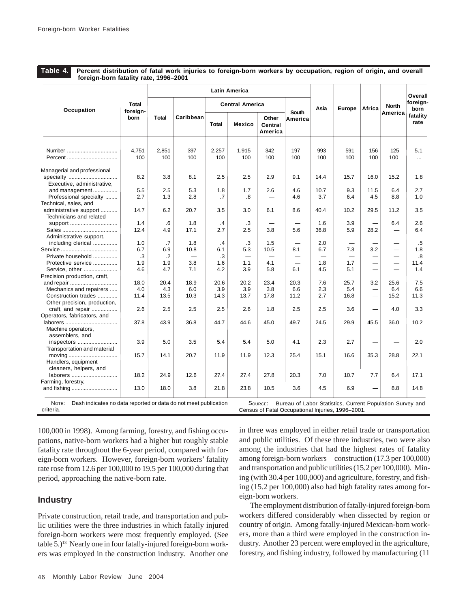**Table 4. Percent distribution of fatal work injuries to foreign-born workers by occupation, region of origin, and overall foreign-born fatality rate, 1996–2001**

|                                                   |                   |              |           |              | <b>Latin America</b>   |                             |                          |      |      |                          |         | Overall           |                  |
|---------------------------------------------------|-------------------|--------------|-----------|--------------|------------------------|-----------------------------|--------------------------|------|------|--------------------------|---------|-------------------|------------------|
| Occupation                                        | Total<br>foreign- |              |           |              | <b>Central America</b> |                             |                          | Asia |      | <b>Europe</b>            | Africa  | <b>North</b>      | foreign-<br>born |
|                                                   | born              | <b>Total</b> | Caribbean | <b>Total</b> | Mexico                 | Other<br>Central<br>America | South<br>America         |      |      |                          | America | fatality<br>rate  |                  |
| Number                                            | 4,751             | 2,851        | 397       | 2,257        | 1,915                  | 342                         | 197                      | 993  | 591  | 156                      | 125     | 5.1               |                  |
| Percent                                           | 100               | 100          | 100       | 100          | 100                    | 100                         | 100                      | 100  | 100  | 100                      | 100     | .                 |                  |
| Managerial and professional                       |                   |              |           |              |                        |                             |                          |      |      |                          |         |                   |                  |
| specialty<br>Executive, administrative,           | 8.2               | 3.8          | 8.1       | 2.5          | 2.5                    | 2.9                         | 9.1                      | 14.4 | 15.7 | 16.0                     | 15.2    | 1.8               |                  |
| and management                                    | 5.5               | 2.5          | 5.3       | 1.8          | 1.7                    | 2.6                         | 4.6                      | 10.7 | 9.3  | 11.5                     | 6.4     | 2.7               |                  |
| Professional specialty                            | 2.7               | 1.3          | 2.8       | .7           | .8                     |                             | 4.6                      | 3.7  | 6.4  | 4.5                      | 8.8     | 1.0               |                  |
| Technical, sales, and                             |                   |              |           |              |                        |                             |                          |      |      |                          |         |                   |                  |
| administrative support<br>Technicians and related | 14.7              | 6.2          | 20.7      | 3.5          | 3.0                    | 6.1                         | 8.6                      | 40.4 | 10.2 | 29.5                     | 11.2    | 3.5               |                  |
| support                                           | 1.4               | $6^{\circ}$  | 1.8       | .4           | .3                     |                             |                          | 1.6  | 3.9  |                          | 6.4     | 2.6               |                  |
|                                                   | 12.4              | 4.9          | 17.1      | 2.7          | 2.5                    | 3.8                         | 5.6                      | 36.8 | 5.9  | 28.2                     |         | 6.4               |                  |
| Administrative support,                           |                   |              |           |              |                        |                             |                          |      |      |                          |         |                   |                  |
| including clerical                                | 1.0               | .7           | 1.8       | .4           | .3                     | 1.5                         |                          | 2.0  |      |                          |         | .5                |                  |
|                                                   | 6.7               | 6.9          | 10.8      | 6.1          | 5.3                    | 10.5                        | 8.1                      | 6.7  | 7.3  | 3.2                      | —       | 1.8               |                  |
| Private household                                 | $\cdot$ 3         | $\cdot$      |           | .3           |                        |                             |                          |      |      |                          |         | $\boldsymbol{.8}$ |                  |
| Protective service                                | 1.9               | 1.9          | 3.8       | 1.6          | 1.1                    | 4.1                         | $\overline{\phantom{0}}$ | 1.8  | 1.7  | —                        |         | 11.4              |                  |
| Service, other                                    | 4.6               | 4.7          | 7.1       | 4.2          | 3.9                    | 5.8                         | 6.1                      | 4.5  | 5.1  | $\overline{\phantom{0}}$ |         | 1.4               |                  |
| Precision production, craft,                      |                   |              |           |              |                        |                             |                          |      |      |                          |         |                   |                  |
| and repair                                        | 18.0              | 20.4         | 18.9      | 20.6         | 20.2                   | 23.4                        | 20.3                     | 7.6  | 25.7 | 3.2                      | 25.6    | 7.5               |                  |
| Mechanics and repairers                           | 4.0               | 4.3          | 6.0       | 3.9          | 3.9                    | 3.8                         | 6.6                      | 2.3  | 5.4  | -                        | 6.4     | 6.6               |                  |
| Construction trades                               | 11.4              | 13.5         | 10.3      | 14.3         | 13.7                   | 17.8                        | 11.2                     | 2.7  | 16.8 | -                        | 15.2    | 11.3              |                  |
| Other precision, production,                      |                   |              |           |              |                        |                             |                          |      |      |                          |         |                   |                  |
| craft, and repair                                 | 2.6               | 2.5          | 2.5       | 2.5          | 2.6                    | 1.8                         | 2.5                      | 2.5  | 3.6  | $\overline{\phantom{0}}$ | 4.0     | 3.3               |                  |
| Operators, fabricators, and                       |                   |              |           |              |                        |                             |                          |      |      |                          |         |                   |                  |
|                                                   | 37.8              | 43.9         | 36.8      | 44.7         | 44.6                   | 45.0                        | 49.7                     | 24.5 | 29.9 | 45.5                     | 36.0    | 10.2              |                  |
| Machine operators,                                |                   |              |           |              |                        |                             |                          |      |      |                          |         |                   |                  |
| assemblers, and                                   |                   |              |           |              |                        |                             |                          |      |      |                          |         |                   |                  |
| inspectors                                        | 3.9               | 5.0          | 3.5       | 5.4          | 5.4                    | 5.0                         | 4.1                      | 2.3  | 2.7  |                          |         | 2.0               |                  |
| Transportation and material                       |                   |              |           |              |                        |                             |                          |      |      |                          |         |                   |                  |
|                                                   | 15.7              | 14.1         | 20.7      | 11.9         | 11.9                   | 12.3                        | 25.4                     | 15.1 | 16.6 | 35.3                     | 28.8    | 22.1              |                  |
| Handlers, equipment                               |                   |              |           |              |                        |                             |                          |      |      |                          |         |                   |                  |
| cleaners, helpers, and                            |                   |              |           |              |                        |                             |                          |      |      |                          |         |                   |                  |
| laborers                                          | 18.2              | 24.9         | 12.6      | 27.4         | 27.4                   | 27.8                        | 20.3                     | 7.0  | 10.7 | 7.7                      | 6.4     | 17.1              |                  |
| Farming, forestry,                                |                   |              |           |              |                        |                             |                          |      |      |                          |         |                   |                  |
| and fishing                                       | 13.0              | 18.0         | 3.8       | 21.8         | 23.8                   | 10.5                        | 3.6                      | 4.5  | 6.9  |                          | 8.8     | 14.8              |                  |

100,000 in 1998). Among farming, forestry, and fishing occupations, native-born workers had a higher but roughly stable fatality rate throughout the 6-year period, compared with foreign-born workers. However, foreign-born workers' fatality rate rose from 12.6 per 100,000 to 19.5 per 100,000 during that period, approaching the native-born rate.

## **Industry**

Private construction, retail trade, and transportation and public utilities were the three industries in which fatally injured foreign-born workers were most frequently employed. (See table 5.)<sup>13</sup> Nearly one in four fatally-injured foreign-born workers was employed in the construction industry. Another one

in three was employed in either retail trade or transportation and public utilities. Of these three industries, two were also among the industries that had the highest rates of fatality among foreign-born workers—construction (17.3 per 100,000) and transportation and public utilities (15.2 per 100,000). Mining (with 30.4 per 100,000) and agriculture, forestry, and fishing (15.2 per 100,000) also had high fatality rates among foreign-born workers.

 The employment distribution of fatally-injured foreign-born workers differed considerably when dissected by region or country of origin. Among fatally-injured Mexican-born workers, more than a third were employed in the construction industry. Another 23 percent were employed in the agriculture, forestry, and fishing industry, followed by manufacturing (11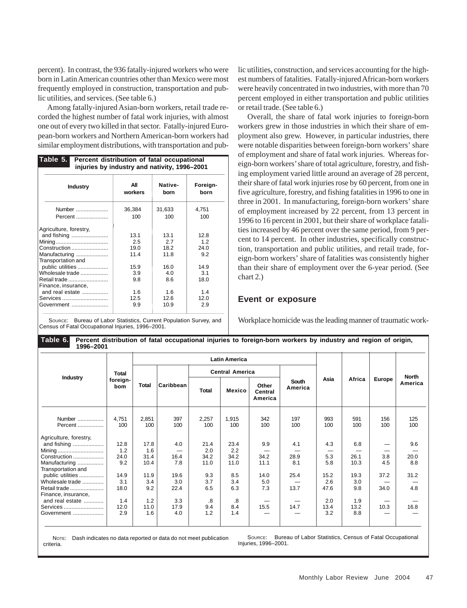percent). In contrast, the 936 fatally-injured workers who were born in Latin American countries other than Mexico were most frequently employed in construction, transportation and public utilities, and services. (See table 6.)

Among fatally-injured Asian-born workers, retail trade recorded the highest number of fatal work injuries, with almost one out of every two killed in that sector. Fatally-injured European-born workers and Northern American-born workers had similar employment distributions, with transportation and pub-

| Table 5.<br>Percent distribution of fatal occupational<br>injuries by industry and nativity, 1996-2001 |                |                 |                  |  |  |  |  |
|--------------------------------------------------------------------------------------------------------|----------------|-----------------|------------------|--|--|--|--|
| <b>Industry</b>                                                                                        | All<br>workers | Native-<br>born | Foreign-<br>born |  |  |  |  |
| Number                                                                                                 | 36,384         | 31,633          | 4,751            |  |  |  |  |
| Percent                                                                                                | 100            | 100             | 100              |  |  |  |  |
| Agriculture, forestry,                                                                                 |                |                 |                  |  |  |  |  |
| and fishing                                                                                            | 13.1           | 13.1            | 12.8             |  |  |  |  |
|                                                                                                        | 2.5            | 2.7             | 12               |  |  |  |  |
| Construction                                                                                           | 19.0           | 18.2            | 24 O             |  |  |  |  |
| Manufacturing                                                                                          | 11.4           | 11.8            | 9.2              |  |  |  |  |
| Transportation and<br>public utilities                                                                 | 15.9           | 16.0            | 14.9             |  |  |  |  |
| Wholesale trade                                                                                        | 3.9            | 4.0             | 3.1              |  |  |  |  |
| Retail trade                                                                                           | 9.8            | 8.6             | 18.0             |  |  |  |  |
| Finance, insurance,                                                                                    |                |                 |                  |  |  |  |  |
| and real estate                                                                                        | 16             | 16              | 14               |  |  |  |  |
| Services                                                                                               | 12.5           | 12.6            | 12.0             |  |  |  |  |
| Government                                                                                             | 9.9            | 10.9            | 2.9              |  |  |  |  |
|                                                                                                        |                |                 |                  |  |  |  |  |

SOURCE: Bureau of Labor Statistics, Current Population Survey, and Census of Fatal Occupational Injuries, 1996–2001.

lic utilities, construction, and services accounting for the highest numbers of fatalities. Fatally-injured African-born workers were heavily concentrated in two industries, with more than 70 percent employed in either transportation and public utilities or retail trade. (See table 6.)

Overall, the share of fatal work injuries to foreign-born workers grew in those industries in which their share of employment also grew. However, in particular industries, there were notable disparities between foreign-born workers' share of employment and share of fatal work injuries. Whereas foreign-born workers' share of total agriculture, forestry, and fishing employment varied little around an average of 28 percent, their share of fatal work injuries rose by 60 percent, from one in five agriculture, forestry, and fishing fatalities in 1996 to one in three in 2001. In manufacturing, foreign-born workers' share of employment increased by 22 percent, from 13 percent in 1996 to 16 percent in 2001, but their share of workplace fatalities increased by 46 percent over the same period, from 9 percent to 14 percent. In other industries, specifically construction, transportation and public utilities, and retail trade, foreign-born workers' share of fatalities was consistently higher than their share of employment over the 6-year period. (See chart 2.)

## **Event or exposure**

Workplace homicide was the leading manner of traumatic work-

| 1996–2001                                                                                                         |                            |                             |                     |                             |                             |                             |                    |                     |                     |               |                    |  |  |       |
|-------------------------------------------------------------------------------------------------------------------|----------------------------|-----------------------------|---------------------|-----------------------------|-----------------------------|-----------------------------|--------------------|---------------------|---------------------|---------------|--------------------|--|--|-------|
|                                                                                                                   |                            |                             |                     |                             | <b>Latin America</b>        |                             |                    |                     |                     |               |                    |  |  |       |
|                                                                                                                   | <b>Total</b>               |                             |                     |                             | <b>Central America</b>      |                             |                    |                     |                     |               |                    |  |  | North |
| <b>Industry</b>                                                                                                   | foreign-<br>bom            | <b>Total</b>                | Caribbean           | <b>Total</b>                | <b>Mexico</b>               | Other<br>Central<br>America | South<br>America   | Asia                | Africa              | <b>Europe</b> | America            |  |  |       |
| Number<br>Percent                                                                                                 | 4,751<br>100               | 2,851<br>100                | 397<br>100          | 2,257<br>100                | 1,915<br>100                | 342<br>100                  | 197<br>100         | 993<br>100          | 591<br>100          | 156<br>100    | 125<br>100         |  |  |       |
| Agriculture, forestry,<br>and fishing<br>Mining<br>Construction                                                   | 12.8<br>1.2<br>24.0<br>9.2 | 17.8<br>1.6<br>31.4<br>10.4 | 4.0<br>16.4<br>7.8  | 21.4<br>2.0<br>34.2<br>11.0 | 23.4<br>2.2<br>34.2<br>11.0 | 9.9<br>34.2<br>11.1         | 4.1<br>28.9<br>8.1 | 4.3<br>5.3<br>5.8   | 6.8<br>26.1<br>10.3 | 3.8<br>4.5    | 9.6<br>20.0<br>8.8 |  |  |       |
| Manufacturing<br>Transportation and<br>public utilities<br>Wholesale trade<br>Retail trade<br>Finance, insurance, | 14.9<br>3.1<br>18.0        | 11.9<br>3.4<br>9.2          | 19.6<br>3.0<br>22.4 | 9.3<br>3.7<br>6.5           | 8.5<br>3.4<br>6.3           | 14.0<br>5.0<br>7.3          | 25.4<br>13.7       | 15.2<br>2.6<br>47.6 | 19.3<br>3.0<br>9.8  | 37.2<br>34.0  | 31.2<br>4.8        |  |  |       |
| and real estate<br>Services<br>Government                                                                         | 1.4<br>12.0<br>2.9         | 1.2<br>11.0<br>1.6          | 3.3<br>17.9<br>4.0  | .8<br>9.4<br>1.2            | .8<br>8.4<br>1.4            | 15.5                        | 14.7               | 2.0<br>13.4<br>3.2  | 1.9<br>13.2<br>8.8  | 10.3          | 16.8               |  |  |       |

**Table 6. Percent distribution of fatal occupational injuries to foreign-born workers by industry and region of origin, 1996–2001**

NOTE: Dash indicates no data reported or data do not meet publication criteria.

SOURCE: Bureau of Labor Statistics, Census of Fatal Occupational Injuries, 1996–2001.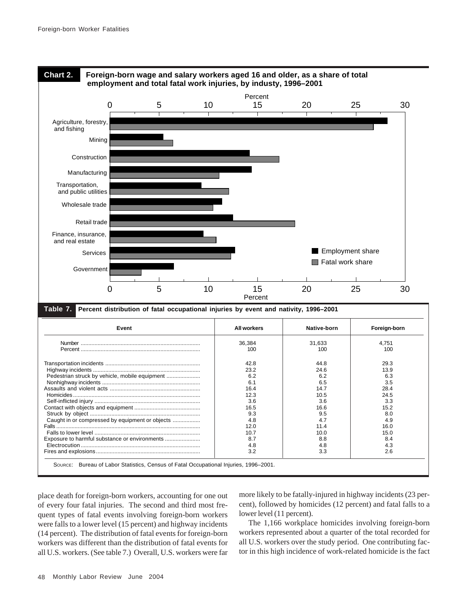

place death for foreign-born workers, accounting for one out of every four fatal injuries. The second and third most frequent types of fatal events involving foreign-born workers were falls to a lower level (15 percent) and highway incidents (14 percent). The distribution of fatal events for foreign-born workers was different than the distribution of fatal events for all U.S. workers. (See table 7.) Overall, U.S. workers were far more likely to be fatally-injured in highway incidents (23 percent), followed by homicides (12 percent) and fatal falls to a lower level (11 percent).

The 1,166 workplace homicides involving foreign-born workers represented about a quarter of the total recorded for all U.S. workers over the study period. One contributing factor in this high incidence of work-related homicide is the fact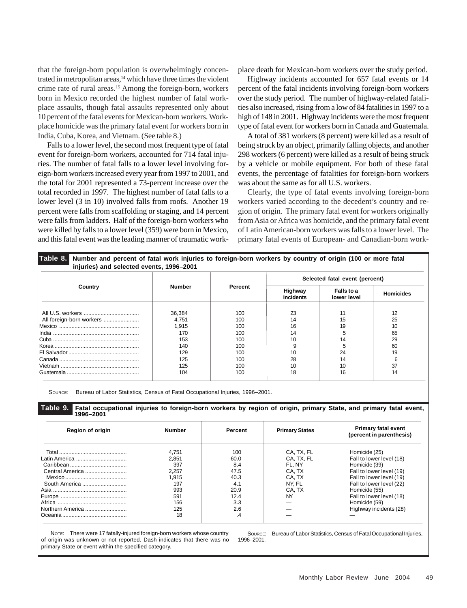that the foreign-born population is overwhelmingly concentrated in metropolitan areas,<sup>14</sup> which have three times the violent crime rate of rural areas.<sup>15</sup> Among the foreign-born, workers born in Mexico recorded the highest number of fatal workplace assaults, though fatal assaults represented only about 10 percent of the fatal events for Mexican-born workers. Workplace homicide was the primary fatal event for workers born in India, Cuba, Korea, and Vietnam. (See table 8.)

Falls to a lower level, the second most frequent type of fatal event for foreign-born workers, accounted for 714 fatal injuries. The number of fatal falls to a lower level involving foreign-born workers increased every year from 1997 to 2001, and the total for 2001 represented a 73-percent increase over the total recorded in 1997. The highest number of fatal falls to a lower level (3 in 10) involved falls from roofs. Another 19 percent were falls from scaffolding or staging, and 14 percent were falls from ladders. Half of the foreign-born workers who were killed by falls to a lower level (359) were born in Mexico, and this fatal event was the leading manner of traumatic workplace death for Mexican-born workers over the study period.

Highway incidents accounted for 657 fatal events or 14 percent of the fatal incidents involving foreign-born workers over the study period. The number of highway-related fatalities also increased, rising from a low of 84 fatalities in 1997 to a high of 148 in 2001. Highway incidents were the most frequent type of fatal event for workers born in Canada and Guatemala.

A total of 381 workers (8 percent) were killed as a result of being struck by an object, primarily falling objects, and another 298 workers (6 percent) were killed as a result of being struck by a vehicle or mobile equipment. For both of these fatal events, the percentage of fatalities for foreign-born workers was about the same as for all U.S. workers.

Clearly, the type of fatal events involving foreign-born workers varied according to the decedent's country and region of origin. The primary fatal event for workers originally from Asia or Africa was homicide, and the primary fatal event of Latin American-born workers was falls to a lower level. The primary fatal events of European- and Canadian-born work-

|                          |               |         |                      | Selected fatal event (percent) |                  |
|--------------------------|---------------|---------|----------------------|--------------------------------|------------------|
| Country                  | <b>Number</b> | Percent | Highway<br>incidents | Falls to a<br>lower level      | <b>Homicides</b> |
|                          | 36,384        | 100     | 23                   | 11                             | 12               |
| All foreign-born workers | 4,751         | 100     | 14                   | 15                             | 25               |
|                          | 1,915         | 100     | 16                   | 19                             | 10               |
|                          | 170           | 100     | 14                   | 5                              | 65               |
|                          | 153           | 100     | 10                   | 14                             | 29               |
|                          | 140           | 100     | 9                    | 5                              | 60               |
|                          | 129           | 100     | 10                   | 24                             | 19               |
|                          | 125           | 100     | 28                   | 14                             | 6                |
|                          | 125           | 100     | 10                   | 10                             | 37               |
|                          | 104           | 100     | 18                   | 16                             | 14               |

| <b>Region of origin</b> | Number | Percent | <b>Primary States</b> | <b>Primary fatal event</b><br>(percent in parenthesis) |
|-------------------------|--------|---------|-----------------------|--------------------------------------------------------|
|                         | 4.751  | 100     | CA. TX. FL            | Homicide (25)                                          |
|                         | 2.851  | 60.0    | CA. TX. FL            | Fall to lower level (18)                               |
|                         | 397    | 8.4     | FL. NY                | Homicide (39)                                          |
| Central America         | 2.257  | 47.5    | CA. TX                | Fall to lower level (19)                               |
|                         | 1.915  | 40.3    | CA. TX                | Fall to lower level (19)                               |
| South America           | 197    | 4.1     | NY. FL                | Fall to lower level (22)                               |
|                         | 993    | 20.9    | CA. TX                | Homicide (55)                                          |
|                         | 59'    | 12.4    | NY                    | Fall to lower level (18)                               |
|                         | 156    | 3.3     |                       | Homicide (59)                                          |
| Northern America        | 125    | 2.6     |                       | Highway incidents (28)                                 |
|                         | 18     | .4      |                       |                                                        |

NOTE: There were 17 fatally-injured foreign-born workers whose country of origin was unknown or not reported. Dash indicates that there was no primary State or event within the specified category.

SOURCE: Bureau of Labor Statistics, Census of Fatal Occupational Injuries, 1996–2001.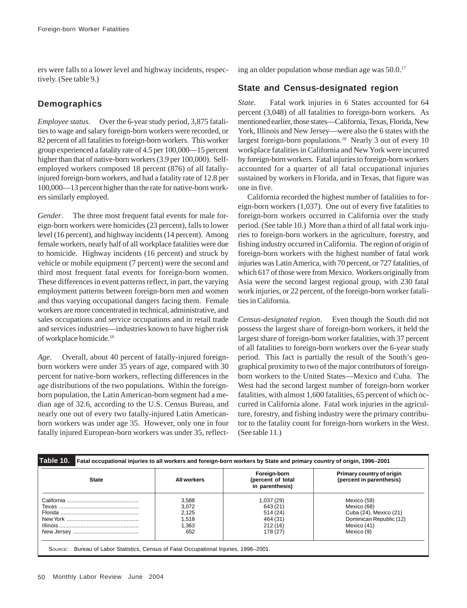ers were falls to a lower level and highway incidents, respectively. (See table 9.)

# **Demographics**

*Employee status*. Over the 6-year study period, 3,875 fatalities to wage and salary foreign-born workers were recorded, or 82 percent of all fatalities to foreign-born workers. This worker group experienced a fatality rate of 4.5 per 100,000—15 percent higher than that of native-born workers (3.9 per 100,000). Selfemployed workers composed 18 percent (876) of all fatallyinjured foreign-born workers, and had a fatality rate of 12.8 per 100,000––13 percent higher than the rate for native-born workers similarly employed.

*Gender*. The three most frequent fatal events for male foreign-born workers were homicides (23 percent), falls to lower level (16 percent), and highway incidents (14 percent). Among female workers, nearly half of all workplace fatalities were due to homicide. Highway incidents (16 percent) and struck by vehicle or mobile equipment (7 percent) were the second and third most frequent fatal events for foreign-born women. These differences in event patterns reflect, in part, the varying employment patterns between foreign-born men and women and thus varying occupational dangers facing them. Female workers are more concentrated in technical, administrative, and sales occupations and service occupations and in retail trade and services industries—industries known to have higher risk of workplace homicide.16

*Age*. Overall, about 40 percent of fatally-injured foreignborn workers were under 35 years of age, compared with 30 percent for native-born workers, reflecting differences in the age distributions of the two populations. Within the foreignborn population, the Latin American-born segment had a median age of 32.6, according to the U.S. Census Bureau, and nearly one out of every two fatally-injured Latin Americanborn workers was under age 35. However, only one in four fatally injured European-born workers was under 35, reflecting an older population whose median age was 50.0.17

# **State and Census-designated region**

*State*. Fatal work injuries in 6 States accounted for 64 percent (3,048) of all fatalities to foreign-born workers. As mentioned earlier, those states—California, Texas, Florida, New York, Illinois and New Jersey—were also the 6 states with the largest foreign-born populations.<sup>18</sup> Nearly 3 out of every 10 workplace fatalities in California and New York were incurred by foreign-born workers. Fatal injuries to foreign-born workers accounted for a quarter of all fatal occupational injuries sustained by workers in Florida, and in Texas, that figure was one in five.

California recorded the highest number of fatalities to foreign-born workers (1,037). One out of every five fatalities to foreign-born workers occurred in California over the study period. (See table 10.) More than a third of all fatal work injuries to foreign-born workers in the agriculture, forestry, and fishing industry occurred in California. The region of origin of foreign-born workers with the highest number of fatal work injuries was Latin America, with 70 percent, or 727 fatalities, of which 617 of those were from Mexico. Workers originally from Asia were the second largest regional group, with 230 fatal work injuries, or 22 percent, of the foreign-born worker fatalities in California.

*Census-designated region*. Even though the South did not possess the largest share of foreign-born workers, it held the largest share of foreign-born worker fatalities, with 37 percent of all fatalities to foreign-born workers over the 6-year study period. This fact is partially the result of the South's geographical proximity to two of the major contributors of foreignborn workers to the United States—Mexico and Cuba. The West had the second largest number of foreign-born worker fatalities, with almost 1,600 fatalities, 65 percent of which occurred in California alone. Fatal work injuries in the agriculture, forestry, and fishing industry were the primary contributor to the fatality count for foreign-born workers in the West. (See table 11.)

| <b>State</b> | All workers | Foreign-born<br>(percent of total<br>in parenthesis) | Primary country of origin<br>(percent in parenthesis) |
|--------------|-------------|------------------------------------------------------|-------------------------------------------------------|
|              | 3,588       | 1,037 (29)                                           | Mexico (59)                                           |
|              | 3.072       | 643 (21)                                             | Mexico (68)                                           |
|              | 2,125       | 514 (24)                                             | Cuba (24), Mexico (21)                                |
|              | 1.518       | 464 (31)                                             | Dominican Republic (12)                               |
|              | 1,363       | 212(16)                                              | Mexico (41)                                           |
|              | 652         | 178 (27)                                             | Mexico (9)                                            |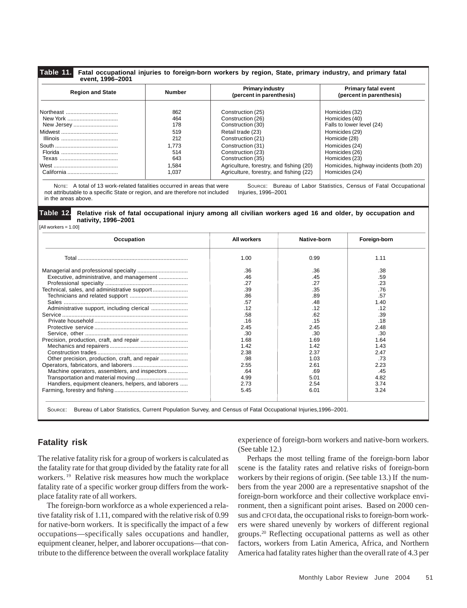#### **Table 11. Fatal occupational injuries to foreign-born workers by region, State, primary industry, and primary fatal event, 1996–2001**

| <b>Region and State</b> | Number | <b>Primary industry</b><br>(percent in parenthesis) | <b>Primary fatal event</b><br>(percent in parenthesis) |  |  |
|-------------------------|--------|-----------------------------------------------------|--------------------------------------------------------|--|--|
| Northeast               | 862    | Construction (25)                                   | Homicides (32)                                         |  |  |
| New York                | 464    | Construction (26)                                   | Homicides (40)                                         |  |  |
| New Jersey              | 178    | Construction (30)                                   | Falls to lower level (24)                              |  |  |
|                         | 519    | Retail trade (23)                                   | Homicides (29)                                         |  |  |
|                         | 212    | Construction (21)                                   | Homicide (28)                                          |  |  |
|                         | 1.773  | Construction (31)                                   | Homicides (24)                                         |  |  |
|                         | 514    | Construction (23)                                   | Homicides (26)                                         |  |  |
|                         | 643    | Construction (35)                                   | Homicides (23)                                         |  |  |
|                         | 1.584  | Agriculture, forestry, and fishing (20)             | Homicides, highway incidents (both 20)                 |  |  |
| California              | 1.037  | Agriculture, forestry, and fishing (22)             | Homicides (24)                                         |  |  |

NOTE: A total of 13 work-related fatalities occurred in areas that were not attributable to a specific State or region, and are therefore not included in the areas above.

SOURCE: Bureau of Labor Statistics, Census of Fatal Occupational Injuries, 1996–2001

#### **Table 12. Relative risk of fatal occupational injury among all civilian workers aged 16 and older, by occupation and nativity, 1996–2001**

[All workers = 1.00]

| Occupation                                          | All workers | Native-born | Foreign-born |
|-----------------------------------------------------|-------------|-------------|--------------|
|                                                     | 1.00        | 0.99        | 1.11         |
|                                                     | .36         | .36         | .38          |
| Executive, administrative, and management           | .46         | .45         | .59          |
|                                                     | .27         | .27         | .23          |
|                                                     | .39         | .35         | .76          |
|                                                     | .86         | .89         | .57          |
|                                                     | .57         | .48         | 1.40         |
| Administrative support, including clerical          | .12         | .12         | .12          |
|                                                     | .58         | .62         | .39          |
|                                                     | .16         | .15         | .18          |
|                                                     | 2.45        | 2.45        | 2.48         |
|                                                     | .30         | .30         | .30          |
|                                                     | 1.68        | 1.69        | 1.64         |
|                                                     | 1.42        | 1.42        | 1.43         |
|                                                     | 2.38        | 2.37        | 2.47         |
| Other precision, production, craft, and repair      | .98         | 1.03        | .73          |
|                                                     | 2.55        | 2.61        | 2.23         |
| Machine operators, assemblers, and inspectors       | .64         | .69         | .45          |
|                                                     | 4.99        | 5.01        | 4.82         |
| Handlers, equipment cleaners, helpers, and laborers | 2.73        | 2.54        | 3.74         |
|                                                     | 5.45        | 6.01        | 3.24         |

SOURCE: Bureau of Labor Statistics, Current Population Survey, and Census of Fatal Occupational Injuries,1996–2001.

## **Fatality risk**

The relative fatality risk for a group of workers is calculated as the fatality rate for that group divided by the fatality rate for all workers. 19 Relative risk measures how much the workplace fatality rate of a specific worker group differs from the workplace fatality rate of all workers.

The foreign-born workforce as a whole experienced a relative fatality risk of 1.11, compared with the relative risk of 0.99 for native-born workers. It is specifically the impact of a few occupations—specifically sales occupations and handler, equipment cleaner, helper, and laborer occupations—that contribute to the difference between the overall workplace fatality experience of foreign-born workers and native-born workers. (See table 12.)

Perhaps the most telling frame of the foreign-born labor scene is the fatality rates and relative risks of foreign-born workers by their regions of origin. (See table 13.) If the numbers from the year 2000 are a representative snapshot of the foreign-born workforce and their collective workplace environment, then a significant point arises. Based on 2000 census and CFOI data, the occupational risks to foreign-born workers were shared unevenly by workers of different regional groups.20 Reflecting occupational patterns as well as other factors, workers from Latin America, Africa, and Northern America had fatality rates higher than the overall rate of 4.3 per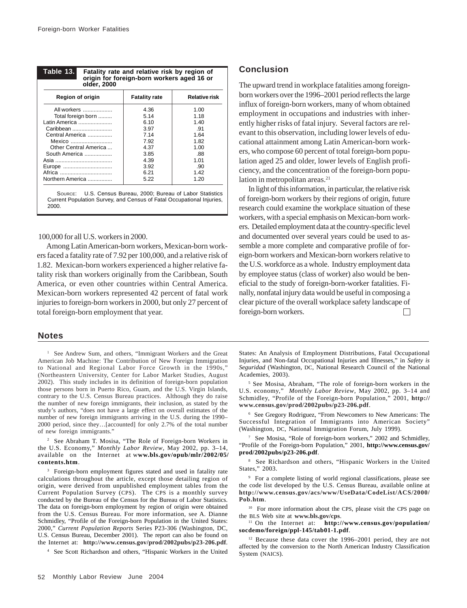| Table 13.<br>Fatality rate and relative risk by region of<br>origin for foreign-born workers aged 16 or |                      |                      |  |  |  |  |  |
|---------------------------------------------------------------------------------------------------------|----------------------|----------------------|--|--|--|--|--|
| older, 2000                                                                                             |                      |                      |  |  |  |  |  |
| Region of origin                                                                                        | <b>Fatality rate</b> | <b>Relative risk</b> |  |  |  |  |  |
| All workers                                                                                             | 4.36                 | 1.00                 |  |  |  |  |  |
| Total foreign born                                                                                      | 5.14                 | 1.18                 |  |  |  |  |  |
| Latin America                                                                                           | 6.10                 | 1.40                 |  |  |  |  |  |
| Caribbean                                                                                               | 3.97                 | .91                  |  |  |  |  |  |
| Central America                                                                                         | 7 14                 | 1.64                 |  |  |  |  |  |
| Mexico                                                                                                  | 7.92                 | 1.82                 |  |  |  |  |  |
| Other Central America                                                                                   | 4.37                 | 1.00                 |  |  |  |  |  |
| South America                                                                                           | 3.85                 | .88                  |  |  |  |  |  |
|                                                                                                         | 4.39                 | 1.01                 |  |  |  |  |  |
| Europe                                                                                                  | 3.92                 | .90                  |  |  |  |  |  |
| Africa                                                                                                  | 6.21                 | 1.42                 |  |  |  |  |  |
| Northern America                                                                                        | 5.22                 | 1.20                 |  |  |  |  |  |

SOURCE: U.S. Census Bureau, 2000; Bureau of Labor Statistics Current Population Survey, and Census of Fatal Occupational Injuries, 2000.

#### 100,000 for all U.S. workers in 2000.

Among Latin American-born workers, Mexican-born workers faced a fatality rate of 7.92 per 100,000, and a relative risk of 1.82. Mexican-born workers experienced a higher relative fatality risk than workers originally from the Caribbean, South America, or even other countries within Central America. Mexican-born workers represented 42 percent of fatal work injuries to foreign-born workers in 2000, but only 27 percent of total foreign-born employment that year.

#### **Notes**

<sup>1</sup> See Andrew Sum, and others, "Immigrant Workers and the Great American Job Machine: The Contribution of New Foreign Immigration to National and Regional Labor Force Growth in the 1990s," (Northeastern University, Center for Labor Market Studies, August 2002). This study includes in its definition of foreign-born population those persons born in Puerto Rico, Guam, and the U.S. Virgin Islands, contrary to the U.S. Census Bureau practices. Although they do raise the number of new foreign immigrants, their inclusion, as stated by the study's authors, "does not have a large effect on overall estimates of the number of new foreign immigrants arriving in the U.S. during the 1990– 2000 period, since they…[accounted] for only 2.7% of the total number of new foreign immigrants."

2 See Abraham T. Mosisa, "The Role of Foreign-born Workers in the U.S. Economy," *Monthly Labor Review*, May 2002, pp. 3–14, available on the Internet at w**ww.bls.gov/opub/mlr/2002/05/ contents.htm**.

<sup>3</sup> Foreign-born employment figures stated and used in fatality rate calculations throughout the article, except those detailing region of origin, were derived from unpublished employment tables from the Current Population Survey (CPS). The CPS is a monthly survey conducted by the Bureau of the Census for the Bureau of Labor Statistics. The data on foreign-born employment by region of origin were obtained from the U.S. Census Bureau. For more information, see A. Dianne Schmidley, "Profile of the Foreign-born Population in the United States: 2000," *Current Population Reports* Series P23-306 (Washington, DC, U.S. Census Bureau, December 2001). The report can also be found on the Internet at: **http://www.census.gov/prod/2002pubs/p23-206.pdf**.

4 See Scott Richardson and others, "Hispanic Workers in the United

#### **Conclusion**

The upward trend in workplace fatalities among foreignborn workers over the 1996–2001 period reflects the large influx of foreign-born workers, many of whom obtained employment in occupations and industries with inherently higher risks of fatal injury. Several factors are relevant to this observation, including lower levels of educational attainment among Latin American-born workers, who compose 60 percent of total foreign-born population aged 25 and older, lower levels of English proficiency, and the concentration of the foreign-born population in metropolitan areas.<sup>21</sup>

In light of this information, in particular, the relative risk of foreign-born workers by their regions of origin, future research could examine the workplace situation of these workers, with a special emphasis on Mexican-born workers. Detailed employment data at the country-specific level and documented over several years could be used to assemble a more complete and comparative profile of foreign-born workers and Mexican-born workers relative to the U.S. workforce as a whole. Industry employment data by employee status (class of worker) also would be beneficial to the study of foreign-born-worker fatalities. Finally, nonfatal injury data would be useful in composing a clear picture of the overall workplace safety landscape of foreign-born workers.

States: An Analysis of Employment Distributions, Fatal Occupational Injuries, and Non-fatal Occupational Injuries and Illnesses," in *Safety is Seguridad* (Washington, DC, National Research Council of the National Academies, 2003).

5 See Mosisa, Abraham, "The role of foreign-born workers in the U.S. economy," *Monthly Labor Review*, May 2002, pp. 3–14 and Schmidley, "Profile of the Foreign-born Population," 2001, **http:// www.census.gov/prod/2002pubs/p23-206.pdf**.

6 See Gregory Rodriguez, "From Newcomers to New Americans: The Successful Integration of Immigrants into American Society' (Washington, DC, National Immigration Forum, July 1999).

7 See Mosisa, "Role of foreign-born workers," 2002 and Schmidley, "Profile of the Foreign-born Population," 2001, **http://www.census.gov/ prod/2002pubs/p23-206.pdf**.

8 See Richardson and others, "Hispanic Workers in the United States," 2003.

9 For a complete listing of world regional classifications, please see the code list developed by the U.S. Census Bureau, available online at **http://www.census.gov/acs/www/UseData/CodeList/ACS/2000/ Pob.htm**.

<sup>10</sup> For more information about the CPS, please visit the CPS page on the BLS Web site at **www.bls.gov/cps**.

11 On the Internet at: **http://www.census.gov/population/ socdemo/foreign/ppl-145/tab01-1.pdf**.

<sup>12</sup> Because these data cover the 1996–2001 period, they are not affected by the conversion to the North American Industry Classification System (NAICS).